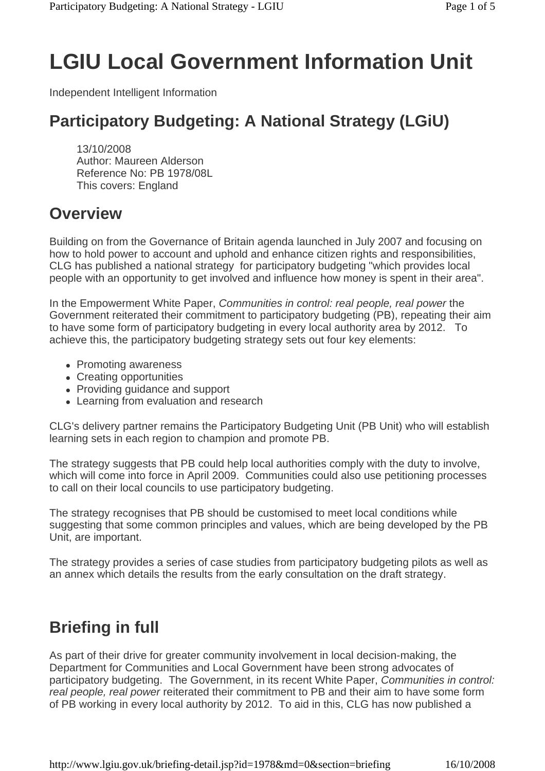# **LGIU Local Government Information Unit**

Independent Intelligent Information

### **Participatory Budgeting: A National Strategy (LGiU)**

13/10/2008 Author: Maureen Alderson Reference No: PB 1978/08L This covers: England

### **Overview**

Building on from the Governance of Britain agenda launched in July 2007 and focusing on how to hold power to account and uphold and enhance citizen rights and responsibilities, CLG has published a national strategy for participatory budgeting "which provides local people with an opportunity to get involved and influence how money is spent in their area".

In the Empowerment White Paper, *Communities in control: real people, real power* the Government reiterated their commitment to participatory budgeting (PB), repeating their aim to have some form of participatory budgeting in every local authority area by 2012. To achieve this, the participatory budgeting strategy sets out four key elements:

- Promoting awareness
- Creating opportunities
- Providing guidance and support
- Learning from evaluation and research

CLG's delivery partner remains the Participatory Budgeting Unit (PB Unit) who will establish learning sets in each region to champion and promote PB.

The strategy suggests that PB could help local authorities comply with the duty to involve, which will come into force in April 2009. Communities could also use petitioning processes to call on their local councils to use participatory budgeting.

The strategy recognises that PB should be customised to meet local conditions while suggesting that some common principles and values, which are being developed by the PB Unit, are important.

The strategy provides a series of case studies from participatory budgeting pilots as well as an annex which details the results from the early consultation on the draft strategy.

### **Briefing in full**

As part of their drive for greater community involvement in local decision-making, the Department for Communities and Local Government have been strong advocates of participatory budgeting. The Government, in its recent White Paper, *Communities in control: real people, real power* reiterated their commitment to PB and their aim to have some form of PB working in every local authority by 2012. To aid in this, CLG has now published a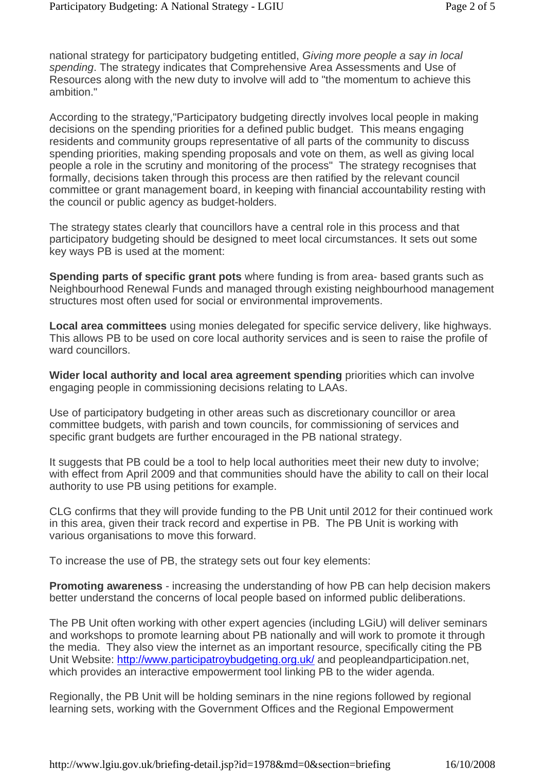national strategy for participatory budgeting entitled, *Giving more people a say in local spending*. The strategy indicates that Comprehensive Area Assessments and Use of Resources along with the new duty to involve will add to "the momentum to achieve this ambition."

According to the strategy,"Participatory budgeting directly involves local people in making decisions on the spending priorities for a defined public budget. This means engaging residents and community groups representative of all parts of the community to discuss spending priorities, making spending proposals and vote on them, as well as giving local people a role in the scrutiny and monitoring of the process" The strategy recognises that formally, decisions taken through this process are then ratified by the relevant council committee or grant management board, in keeping with financial accountability resting with the council or public agency as budget-holders.

The strategy states clearly that councillors have a central role in this process and that participatory budgeting should be designed to meet local circumstances. It sets out some key ways PB is used at the moment:

**Spending parts of specific grant pots** where funding is from area- based grants such as Neighbourhood Renewal Funds and managed through existing neighbourhood management structures most often used for social or environmental improvements.

**Local area committees** using monies delegated for specific service delivery, like highways. This allows PB to be used on core local authority services and is seen to raise the profile of ward councillors.

**Wider local authority and local area agreement spending** priorities which can involve engaging people in commissioning decisions relating to LAAs.

Use of participatory budgeting in other areas such as discretionary councillor or area committee budgets, with parish and town councils, for commissioning of services and specific grant budgets are further encouraged in the PB national strategy.

It suggests that PB could be a tool to help local authorities meet their new duty to involve; with effect from April 2009 and that communities should have the ability to call on their local authority to use PB using petitions for example.

CLG confirms that they will provide funding to the PB Unit until 2012 for their continued work in this area, given their track record and expertise in PB. The PB Unit is working with various organisations to move this forward.

To increase the use of PB, the strategy sets out four key elements:

**Promoting awareness** - increasing the understanding of how PB can help decision makers better understand the concerns of local people based on informed public deliberations.

The PB Unit often working with other expert agencies (including LGiU) will deliver seminars and workshops to promote learning about PB nationally and will work to promote it through the media. They also view the internet as an important resource, specifically citing the PB Unit Website: http://www.participatroybudgeting.org.uk/ and peopleandparticipation.net, which provides an interactive empowerment tool linking PB to the wider agenda.

Regionally, the PB Unit will be holding seminars in the nine regions followed by regional learning sets, working with the Government Offices and the Regional Empowerment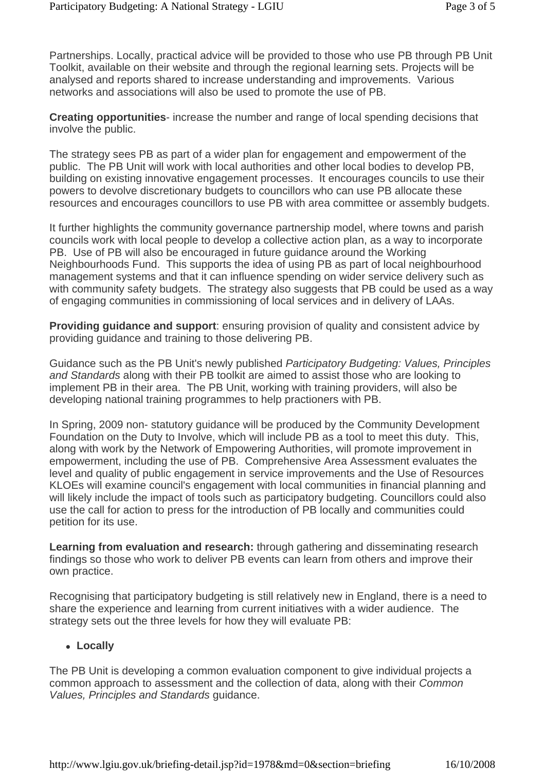Partnerships. Locally, practical advice will be provided to those who use PB through PB Unit Toolkit, available on their website and through the regional learning sets. Projects will be analysed and reports shared to increase understanding and improvements. Various networks and associations will also be used to promote the use of PB.

**Creating opportunities**- increase the number and range of local spending decisions that involve the public.

The strategy sees PB as part of a wider plan for engagement and empowerment of the public. The PB Unit will work with local authorities and other local bodies to develop PB, building on existing innovative engagement processes. It encourages councils to use their powers to devolve discretionary budgets to councillors who can use PB allocate these resources and encourages councillors to use PB with area committee or assembly budgets.

It further highlights the community governance partnership model, where towns and parish councils work with local people to develop a collective action plan, as a way to incorporate PB. Use of PB will also be encouraged in future guidance around the Working Neighbourhoods Fund. This supports the idea of using PB as part of local neighbourhood management systems and that it can influence spending on wider service delivery such as with community safety budgets. The strategy also suggests that PB could be used as a way of engaging communities in commissioning of local services and in delivery of LAAs.

**Providing guidance and support:** ensuring provision of quality and consistent advice by providing guidance and training to those delivering PB.

Guidance such as the PB Unit's newly published *Participatory Budgeting: Values, Principles and Standards* along with their PB toolkit are aimed to assist those who are looking to implement PB in their area. The PB Unit, working with training providers, will also be developing national training programmes to help practioners with PB.

In Spring, 2009 non- statutory guidance will be produced by the Community Development Foundation on the Duty to Involve, which will include PB as a tool to meet this duty. This, along with work by the Network of Empowering Authorities, will promote improvement in empowerment, including the use of PB. Comprehensive Area Assessment evaluates the level and quality of public engagement in service improvements and the Use of Resources KLOEs will examine council's engagement with local communities in financial planning and will likely include the impact of tools such as participatory budgeting. Councillors could also use the call for action to press for the introduction of PB locally and communities could petition for its use.

**Learning from evaluation and research:** through gathering and disseminating research findings so those who work to deliver PB events can learn from others and improve their own practice.

Recognising that participatory budgeting is still relatively new in England, there is a need to share the experience and learning from current initiatives with a wider audience. The strategy sets out the three levels for how they will evaluate PB:

#### <sup>z</sup> **Locally**

The PB Unit is developing a common evaluation component to give individual projects a common approach to assessment and the collection of data, along with their *Common Values, Principles and Standards* guidance.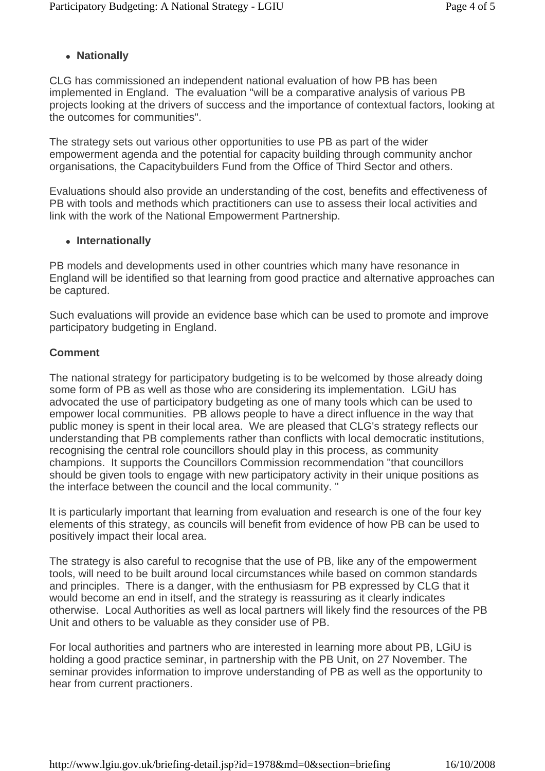#### **• Nationally**

CLG has commissioned an independent national evaluation of how PB has been implemented in England. The evaluation "will be a comparative analysis of various PB projects looking at the drivers of success and the importance of contextual factors, looking at the outcomes for communities".

The strategy sets out various other opportunities to use PB as part of the wider empowerment agenda and the potential for capacity building through community anchor organisations, the Capacitybuilders Fund from the Office of Third Sector and others.

Evaluations should also provide an understanding of the cost, benefits and effectiveness of PB with tools and methods which practitioners can use to assess their local activities and link with the work of the National Empowerment Partnership.

#### <sup>z</sup> **Internationally**

PB models and developments used in other countries which many have resonance in England will be identified so that learning from good practice and alternative approaches can be captured.

Such evaluations will provide an evidence base which can be used to promote and improve participatory budgeting in England.

#### **Comment**

The national strategy for participatory budgeting is to be welcomed by those already doing some form of PB as well as those who are considering its implementation. LGiU has advocated the use of participatory budgeting as one of many tools which can be used to empower local communities. PB allows people to have a direct influence in the way that public money is spent in their local area. We are pleased that CLG's strategy reflects our understanding that PB complements rather than conflicts with local democratic institutions, recognising the central role councillors should play in this process, as community champions. It supports the Councillors Commission recommendation "that councillors should be given tools to engage with new participatory activity in their unique positions as the interface between the council and the local community. "

It is particularly important that learning from evaluation and research is one of the four key elements of this strategy, as councils will benefit from evidence of how PB can be used to positively impact their local area.

The strategy is also careful to recognise that the use of PB, like any of the empowerment tools, will need to be built around local circumstances while based on common standards and principles. There is a danger, with the enthusiasm for PB expressed by CLG that it would become an end in itself, and the strategy is reassuring as it clearly indicates otherwise. Local Authorities as well as local partners will likely find the resources of the PB Unit and others to be valuable as they consider use of PB.

For local authorities and partners who are interested in learning more about PB, LGiU is holding a good practice seminar, in partnership with the PB Unit, on 27 November. The seminar provides information to improve understanding of PB as well as the opportunity to hear from current practioners.